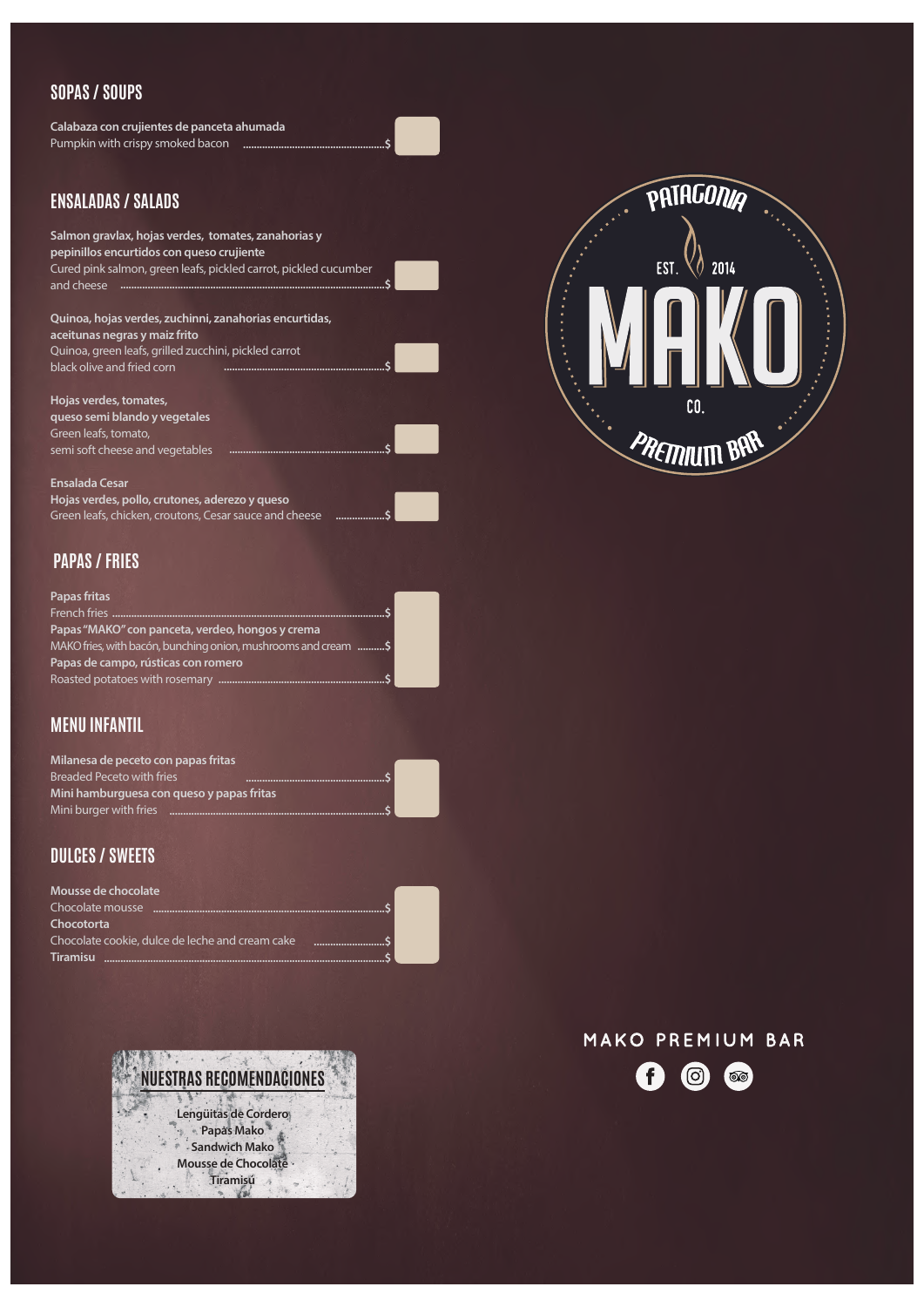# **SOPAS / SOUPS**

# **ENSALADAS / SALADS**

**Hojas verdes, tomates, queso semi blando y vegetales**

# **PAPAS / FRIES**

**Calabaza con crujientes de panceta ahumada** Pumpkin with crispy smoked bacon **....................................................\$**



**Salmon gravlax, hojas verdes, tomates, zanahorias y pepinillos encurtidos con queso crujiente** Cured pink salmon, green leafs, pickled carrot, pickled cucumber and cheese **.................................................................................................\$**



# **MENU INFANTIL**

**Quinoa, hojas verdes, zuchinni, zanahorias encurtidas, aceitunas negras y maiz frito** Quinoa, green leafs, grilled zucchini, pickled carrot black olive and fried corn **...........................................................\$**

# **DULCES / SWEETS**

Green leafs, tomato, semi soft cheese and vegetables **.........................................................\$**

**Ensalada Cesar Hojas verdes, pollo, crutones, aderezo y queso** Green leafs, chicken, croutons, Cesar sauce and cheese **..................\$**

> **NUESTRAS RECOMENDACIONES NUESTRAS RECOMENDACIONES Lengüitas de Cordero Montain de Cordero<br>Papas Mako<br>Gandwich Mako<br>Mousse de Chocolate Papas Mako Sandwich Mako Tiramisú**

### MAKO PREMIUM BAR  $\mathbf f$ (ဝ)  $\circledcirc$

**Papas fritas** French fries **....................................................................................................\$ Papas "MAKO" con panceta, verdeo, hongos y crema** MAKO fries, with bacón, bunching onion, mushrooms and cream **..........\$ Papas de campo, rústicas con romero** Roasted potatoes with rosemary **.............................................................\$**

**Milanesa de peceto con papas fritas** Breaded Peceto with fries **Mini hamburguesa con queso y papas fritas** Mini burger with fries **...............................................................................\$ ...................................................\$**



**Mousse de chocolate** Chocolate mousse **.....................................................................................\$ Chocotorta** Chocolate cookie, dulce de leche and cream cake **..........................\$ Tiramisu .......................................................................................................\$**